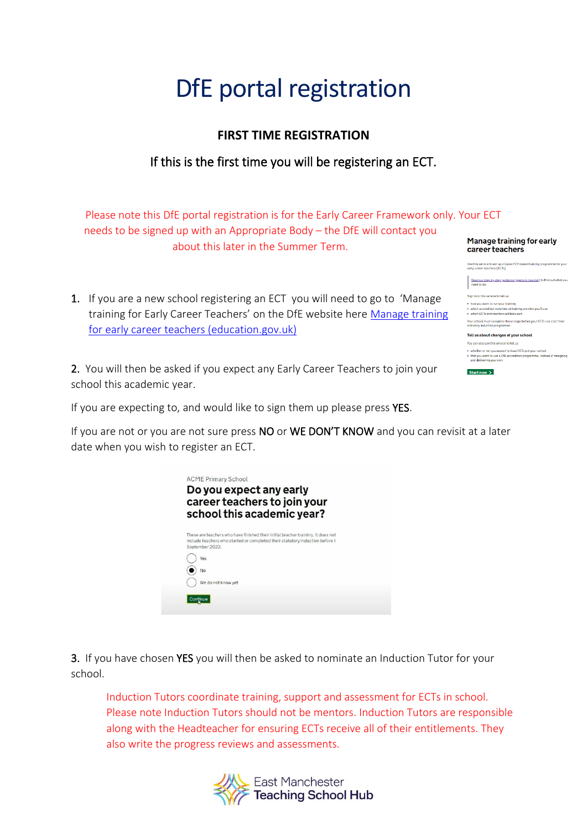# DfE portal registration

#### **FIRST TIME REGISTRATION**

### If this is the first time you will be registering an ECT.

Please note this DfE portal registration is for the Early Career Framework only. Your ECT needs to be signed up with an Appropriate Body – the DfE will contact you Manage training for early about this later in the Summer Term. career teachers

> this service to set up a 2-year ECF-based<br>u career teachers (ECTs) Read our step by step quidance (opens in new tab) to<br>need to do.

which FCTs and mentors will take part

Tell us about changes at your school u can also use this service to te

Start now  $\Delta$ 

u can also use this service to tellus:<br>whether or not you expect to have ECTs join your school<br>that you want to use a DTE accredited programme, instead of designing<br>and delivering your own

1. If you are a new school registering an ECT you will need to go to 'Manage training for Early Career Teachers' on the DfE website here [Manage training](https://manage-training-for-early-career-teachers.education.gov.uk/)  [for early career teachers \(education.gov.uk\)](https://manage-training-for-early-career-teachers.education.gov.uk/)

2. You will then be asked if you expect any Early Career Teachers to join your school this academic year.

If you are expecting to, and would like to sign them up please press YES.

If you are not or you are not sure press NO or WE DON'T KNOW and you can revisit at a later date when you wish to register an ECT.

| career teachers to join your<br>school this academic year?                                                                                                                          |
|-------------------------------------------------------------------------------------------------------------------------------------------------------------------------------------|
|                                                                                                                                                                                     |
| These are teachers who have finished their initial teacher training. It does not<br>include teachers who started or completed their statutory induction before 1<br>September 2022. |
| Yes                                                                                                                                                                                 |
| No                                                                                                                                                                                  |
| We do not know yet                                                                                                                                                                  |

3. If you have chosen YES you will then be asked to nominate an Induction Tutor for your school.

Induction Tutors coordinate training, support and assessment for ECTs in school. Please note Induction Tutors should not be mentors. Induction Tutors are responsible along with the Headteacher for ensuring ECTs receive all of their entitlements. They also write the progress reviews and assessments.

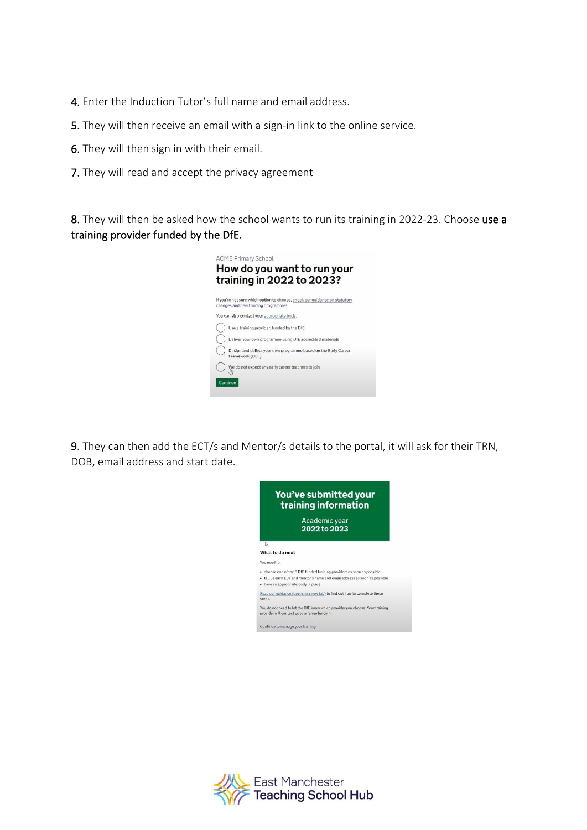- 4. Enter the Induction Tutor's full name and email address.
- 5. They will then receive an email with a sign-in link to the online service.
- 6. They will then sign in with their email.
- 7. They will read and accept the privacy agreement

8. They will then be asked how the school wants to run its training in 2022-23. Choose use a training provider funded by the DfE.



9. They can then add the ECT/s and Mentor/s details to the portal, it will ask for their TRN, DOB, email address and start date.



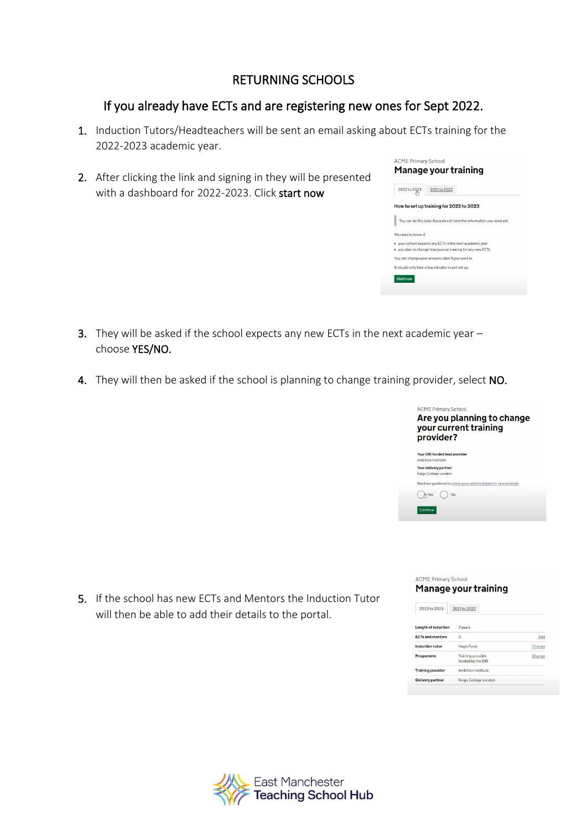#### RETURNING SCHOOLS

#### If you already have ECTs and are registering new ones for Sept 2022.

- 1. Induction Tutors/Headteachers will be sent an email asking about ECTs training for the 2022-2023 academic year.
- 2. After clicking the link and signing in they will be presented with a dashboard for 2022-2023. Click start now

| 2022 to 2023        | 2021 to 2022                                                           |
|---------------------|------------------------------------------------------------------------|
|                     | How to set up training for 2022 to 2023                                |
|                     | You can do this later if you do not have the information you need yet. |
| We need to know if: |                                                                        |
|                     | . your school expects any ECTs in the next academic year               |
|                     | . you plan to change how you run training for any new ECTs.            |
|                     | You can change your answers later if you need to.                      |
|                     | It should only take a few minutes to get set up.                       |

- **3.** They will be asked if the school expects any new ECTs in the next academic year  $$ choose YES/NO.
- 4. They will then be asked if the school is planning to change training provider, select NO.

|                                               | <b>ACME Primary School</b><br>Are you planning to change<br>your current training<br>provider? |
|-----------------------------------------------|------------------------------------------------------------------------------------------------|
| Ambition Institute                            | Your DfE-funded lead provider                                                                  |
| Your delivery partner<br>Kings College London |                                                                                                |
|                                               | Read our guidance to check your options (opens in new window).                                 |
| Yes                                           | No                                                                                             |
| Continue                                      |                                                                                                |

5. If the school has new ECTs and Mentors the Induction Tutor will then be able to add their details to the portal.

| <b>ACME Primary School</b> |  |
|----------------------------|--|
| Manage your training       |  |

| 2022 to 2023             | 2021 to 2022                            |        |
|--------------------------|-----------------------------------------|--------|
| Length of induction      | 2 years                                 |        |
| <b>ECTs and mentors</b>  | $\circ$                                 | Add    |
| Induction tutor          | Hugo Furst                              | Change |
| Programme                | Training provider,<br>funded by the DfE | Change |
| <b>Training provider</b> | Ambition Institute                      |        |
| Delivery partner         | Kings College London                    |        |
|                          |                                         |        |

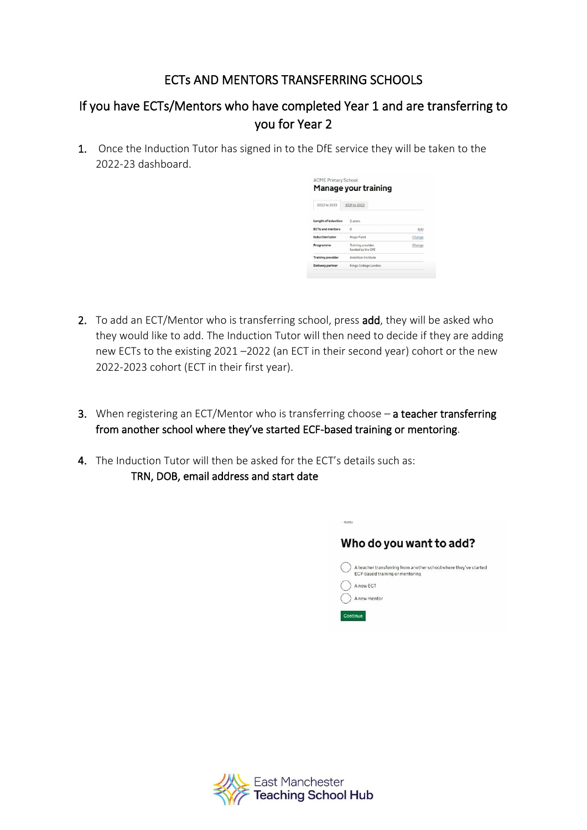## ECTs AND MENTORS TRANSFERRING SCHOOLS

# If you have ECTs/Mentors who have completed Year 1 and are transferring to you for Year 2

1. Once the Induction Tutor has signed in to the DfE service they will be taken to the 2022-23 dashboard.

| Manage your training     |                                         |        |  |  |  |
|--------------------------|-----------------------------------------|--------|--|--|--|
| 2022 to 2023             | 2021 to 2022                            |        |  |  |  |
| Length of induction      | 2 years                                 |        |  |  |  |
| <b>ECTs and mentors</b>  | $\Omega$                                | Add    |  |  |  |
| Induction tutor          | Hugo Furst                              | Change |  |  |  |
| Programme                | Training provider.<br>funded by the DfE | Change |  |  |  |
| <b>Training provider</b> | Ambition Institute                      |        |  |  |  |
| Delivery partner         | Kings College London                    |        |  |  |  |

- 2. To add an ECT/Mentor who is transferring school, press add, they will be asked who they would like to add. The Induction Tutor will then need to decide if they are adding new ECTs to the existing 2021 –2022 (an ECT in their second year) cohort or the new 2022-2023 cohort (ECT in their first year).
- 3. When registering an ECT/Mentor who is transferring choose a teacher transferring from another school where they've started ECF-based training or mentoring.
- 4. The Induction Tutor will then be asked for the ECT's details such as: TRN, DOB, email address and start date

| Who do you want to add?                                                                             |
|-----------------------------------------------------------------------------------------------------|
| A teacher transferring from another school where they've started<br>ECF-based training or mentoring |
| A new ECT                                                                                           |
| A new mentor                                                                                        |